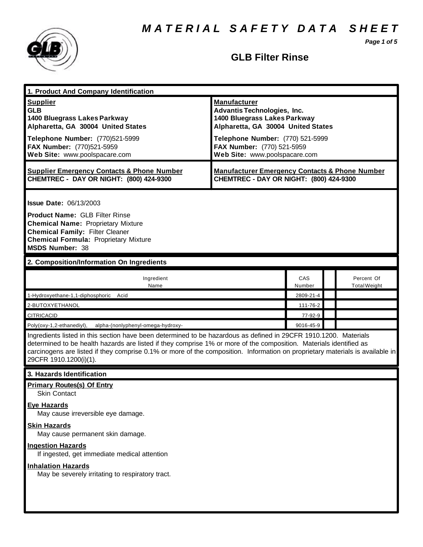*M A T E R I A L S A F E T Y D A T A S H E E T*

*Page 1 of 5*



# **GLB Filter Rinse**

| 1. Product And Company Identification                                                                                                                                                                                                                                                                                                                                                                                                                                            |                                                                                                                                                                                                                                    |               |  |                                   |  |
|----------------------------------------------------------------------------------------------------------------------------------------------------------------------------------------------------------------------------------------------------------------------------------------------------------------------------------------------------------------------------------------------------------------------------------------------------------------------------------|------------------------------------------------------------------------------------------------------------------------------------------------------------------------------------------------------------------------------------|---------------|--|-----------------------------------|--|
| <b>Supplier</b><br><b>GLB</b><br>1400 Bluegrass Lakes Parkway<br>Alpharetta, GA 30004 United States<br>Telephone Number: (770)521-5999<br>FAX Number: (770)521-5959<br>Web Site: www.poolspacare.com                                                                                                                                                                                                                                                                             | <b>Manufacturer</b><br><b>Advantis Technologies, Inc.</b><br>1400 Bluegrass Lakes Parkway<br>Alpharetta, GA 30004 United States<br>Telephone Number: (770) 521-5999<br>FAX Number: (770) 521-5959<br>Web Site: www.poolspacare.com |               |  |                                   |  |
| <b>Supplier Emergency Contacts &amp; Phone Number</b><br>CHEMTREC - DAY OR NIGHT: (800) 424-9300                                                                                                                                                                                                                                                                                                                                                                                 | <b>Manufacturer Emergency Contacts &amp; Phone Number</b><br>CHEMTREC - DAY OR NIGHT: (800) 424-9300                                                                                                                               |               |  |                                   |  |
| <b>Issue Date: 06/13/2003</b><br><b>Product Name: GLB Filter Rinse</b><br><b>Chemical Name: Proprietary Mixture</b><br><b>Chemical Family: Filter Cleaner</b><br><b>Chemical Formula: Proprietary Mixture</b><br><b>MSDS Number: 38</b>                                                                                                                                                                                                                                          |                                                                                                                                                                                                                                    |               |  |                                   |  |
| 2. Composition/Information On Ingredients                                                                                                                                                                                                                                                                                                                                                                                                                                        |                                                                                                                                                                                                                                    |               |  |                                   |  |
| Ingredient<br>Name                                                                                                                                                                                                                                                                                                                                                                                                                                                               |                                                                                                                                                                                                                                    | CAS<br>Number |  | Percent Of<br><b>Total Weight</b> |  |
| 1-Hydroxyethane-1,1-diphosphoric Acid                                                                                                                                                                                                                                                                                                                                                                                                                                            |                                                                                                                                                                                                                                    | 2809-21-4     |  |                                   |  |
| 2-BUTOXYETHANOL                                                                                                                                                                                                                                                                                                                                                                                                                                                                  |                                                                                                                                                                                                                                    | 111-76-2      |  |                                   |  |
| <b>CITRICACID</b>                                                                                                                                                                                                                                                                                                                                                                                                                                                                |                                                                                                                                                                                                                                    | 77-92-9       |  |                                   |  |
| 9016-45-9<br>Poly(oxy-1,2-ethanediyl),<br>alpha-(nonlyphenyl-omega-hydroxy-<br>Ingredients listed in this section have been determined to be hazardous as defined in 29CFR 1910.1200. Materials<br>determined to be health hazards are listed if they comprise 1% or more of the composition. Materials identified as<br>carcinogens are listed if they comprise 0.1% or more of the composition. Information on proprietary materials is available in<br>29CFR 1910.1200(i)(1). |                                                                                                                                                                                                                                    |               |  |                                   |  |
| 3. Hazards Identification                                                                                                                                                                                                                                                                                                                                                                                                                                                        |                                                                                                                                                                                                                                    |               |  |                                   |  |
| <b>Primary Routes(s) Of Entry</b><br>Skin Contact                                                                                                                                                                                                                                                                                                                                                                                                                                |                                                                                                                                                                                                                                    |               |  |                                   |  |
| <b>Eye Hazards</b><br>May cause irreversible eye damage.                                                                                                                                                                                                                                                                                                                                                                                                                         |                                                                                                                                                                                                                                    |               |  |                                   |  |
| <b>Skin Hazards</b><br>May cause permanent skin damage.                                                                                                                                                                                                                                                                                                                                                                                                                          |                                                                                                                                                                                                                                    |               |  |                                   |  |
| <b>Ingestion Hazards</b><br>If ingested, get immediate medical attention                                                                                                                                                                                                                                                                                                                                                                                                         |                                                                                                                                                                                                                                    |               |  |                                   |  |
| <b>Inhalation Hazards</b><br>May be severely irritating to respiratory tract.                                                                                                                                                                                                                                                                                                                                                                                                    |                                                                                                                                                                                                                                    |               |  |                                   |  |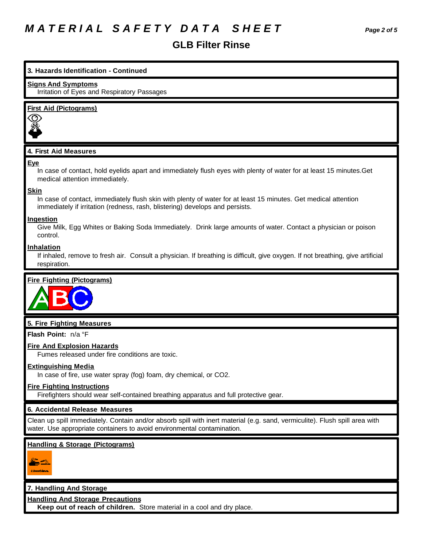# *M A T E R I A L S A F E T Y D A T A S H E E T Page 2 of 5*

# **3. Hazards Identification - Continued**

#### **Signs And Symptoms**

Irritation of Eyes and Respiratory Passages

### **First Aid (Pictograms)**



## **4. First Aid Measures**

#### **Eye**

In case of contact, hold eyelids apart and immediately flush eyes with plenty of water for at least 15 minutes.Get medical attention immediately.

#### **Skin**

In case of contact, immediately flush skin with plenty of water for at least 15 minutes. Get medical attention immediately if irritation (redness, rash, blistering) develops and persists.

#### **Ingestion**

Give Milk, Egg Whites or Baking Soda Immediately. Drink large amounts of water. Contact a physician or poison control.

#### **Inhalation**

If inhaled, remove to fresh air. Consult a physician. If breathing is difficult, give oxygen. If not breathing, give artificial respiration.

## **Fire Fighting (Pictograms)**



## **5. Fire Fighting Measures**

**Flash Point:** n/a °F

#### **Fire And Explosion Hazards**

Fumes released under fire conditions are toxic.

#### **Extinguishing Media**

In case of fire, use water spray (fog) foam, dry chemical, or CO2.

#### **Fire Fighting Instructions**

Firefighters should wear self-contained breathing apparatus and full protective gear.

## **6. Accidental Release Measures**

Clean up spill immediately. Contain and/or absorb spill with inert material (e.g. sand, vermiculite). Flush spill area with water. Use appropriate containers to avoid environmental contamination.

# **Handling & Storage (Pictograms)**



## **7. Handling And Storage**

**Handling And Storage Precautions**

**Keep out of reach of children.** Store material in a cool and dry place.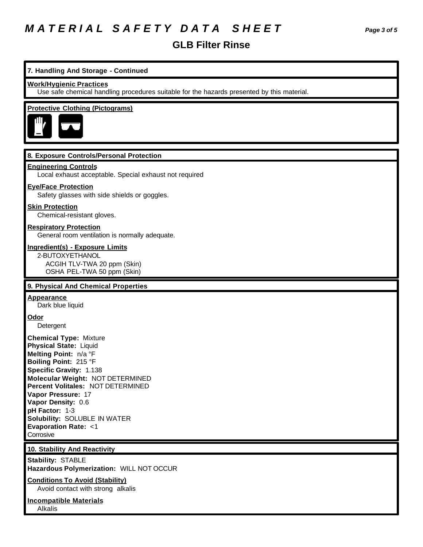# *M A T E R I A L S A F E T Y D A T A S H E E T Page 3 of 5*

# **GLB Filter Rinse**

# **7. Handling And Storage - Continued**

#### **Work/Hygienic Practices**

Use safe chemical handling procedures suitable for the hazards presented by this material.

### **Protective Clothing (Pictograms)**



#### **8. Exposure Controls/Personal Protection**

#### **Engineering Controls**

Local exhaust acceptable. Special exhaust not required

#### **Eye/Face Protection**

Safety glasses with side shields or goggles.

#### **Skin Protection**

Chemical-resistant gloves.

### **Respiratory Protection**

General room ventilation is normally adequate.

#### **Ingredient(s) - Exposure Limits**

2-BUTOXYETHANOL ACGIH TLV-TWA 20 ppm (Skin) OSHA PEL-TWA 50 ppm (Skin)

#### **9. Physical And Chemical Properties**

#### **Appearance**

Dark blue liquid

# **Odor**

Detergent

**Chemical Type:** Mixture **Physical State:** Liquid **Melting Point:** n/a °F **Boiling Point:** 215 °F **Specific Gravity:** 1.138 **Molecular Weight:** NOT DETERMINED **Percent Volitales:** NOT DETERMINED **Vapor Pressure:** 17 **Vapor Density:** 0.6 **pH Factor:** 1-3 **Solubility:** SOLUBLE IN WATER **Evaporation Rate:** <1 **Corrosive** 

#### **10. Stability And Reactivity**

**Stability:** STABLE **Hazardous Polymerization:** WILL NOT OCCUR

**Conditions To Avoid (Stability)** Avoid contact with strong alkalis

**Incompatible Materials** Alkalis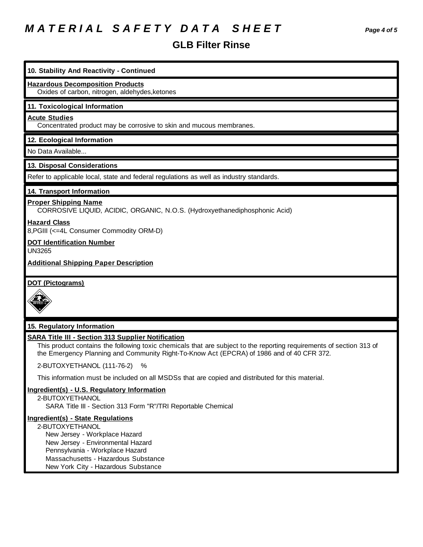# *M A T E R I A L S A F E T Y D A T A S H E E T Page 4 of 5*

**10. Stability And Reactivity - Continued**

**Hazardous Decomposition Products**

# **GLB Filter Rinse**

| Oxides of carbon, nitrogen, aldehydes, ketones                                                                                                                                                                                                                                 |
|--------------------------------------------------------------------------------------------------------------------------------------------------------------------------------------------------------------------------------------------------------------------------------|
| 11. Toxicological Information                                                                                                                                                                                                                                                  |
| <b>Acute Studies</b><br>Concentrated product may be corrosive to skin and mucous membranes.                                                                                                                                                                                    |
| 12. Ecological Information                                                                                                                                                                                                                                                     |
| No Data Available                                                                                                                                                                                                                                                              |
| 13. Disposal Considerations                                                                                                                                                                                                                                                    |
| Refer to applicable local, state and federal regulations as well as industry standards.                                                                                                                                                                                        |
| 14. Transport Information                                                                                                                                                                                                                                                      |
| <b>Proper Shipping Name</b><br>CORROSIVE LIQUID, ACIDIC, ORGANIC, N.O.S. (Hydroxyethanediphosphonic Acid)                                                                                                                                                                      |
| <b>Hazard Class</b><br>8, PGIII (<=4L Consumer Commodity ORM-D)                                                                                                                                                                                                                |
| <b>DOT Identification Number</b><br><b>UN3265</b>                                                                                                                                                                                                                              |
| <b>Additional Shipping Paper Description</b>                                                                                                                                                                                                                                   |
| <b>DOT (Pictograms)</b>                                                                                                                                                                                                                                                        |
| 15. Regulatory Information                                                                                                                                                                                                                                                     |
| <b>SARA Title III - Section 313 Supplier Notification</b><br>This product contains the following toxic chemicals that are subject to the reporting requirements of section 313 of<br>the Emergency Planning and Community Right-To-Know Act (EPCRA) of 1986 and of 40 CFR 372. |
| 2-BUTOXYETHANOL (111-76-2)<br>$\%$                                                                                                                                                                                                                                             |

This information must be included on all MSDSs that are copied and distributed for this material.

# **Ingredient(s) - U.S. Regulatory Information**

2-BUTOXYETHANOL SARA Title III - Section 313 Form "R"/TRI Reportable Chemical

# **Ingredient(s) - State Regulations**

2-BUTOXYETHANOL New Jersey - Workplace Hazard New Jersey - Environmental Hazard Pennsylvania - Workplace Hazard Massachusetts - Hazardous Substance New York City - Hazardous Substance